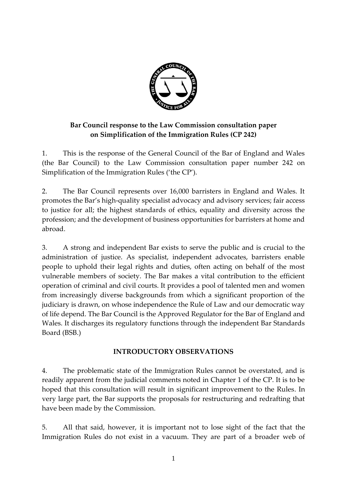

## **Bar Council response to the Law Commission consultation paper on Simplification of the Immigration Rules (CP 242)**

1. This is the response of the General Council of the Bar of England and Wales (the Bar Council) to the Law Commission consultation paper number 242 on Simplification of the Immigration Rules ('the CP').

2. The Bar Council represents over 16,000 barristers in England and Wales. It promotes the Bar's high-quality specialist advocacy and advisory services; fair access to justice for all; the highest standards of ethics, equality and diversity across the profession; and the development of business opportunities for barristers at home and abroad.

3. A strong and independent Bar exists to serve the public and is crucial to the administration of justice. As specialist, independent advocates, barristers enable people to uphold their legal rights and duties, often acting on behalf of the most vulnerable members of society. The Bar makes a vital contribution to the efficient operation of criminal and civil courts. It provides a pool of talented men and women from increasingly diverse backgrounds from which a significant proportion of the judiciary is drawn, on whose independence the Rule of Law and our democratic way of life depend. The Bar Council is the Approved Regulator for the Bar of England and Wales. It discharges its regulatory functions through the independent Bar Standards Board (BSB.)

### **INTRODUCTORY OBSERVATIONS**

4. The problematic state of the Immigration Rules cannot be overstated, and is readily apparent from the judicial comments noted in Chapter 1 of the CP. It is to be hoped that this consultation will result in significant improvement to the Rules. In very large part, the Bar supports the proposals for restructuring and redrafting that have been made by the Commission.

5. All that said, however, it is important not to lose sight of the fact that the Immigration Rules do not exist in a vacuum. They are part of a broader web of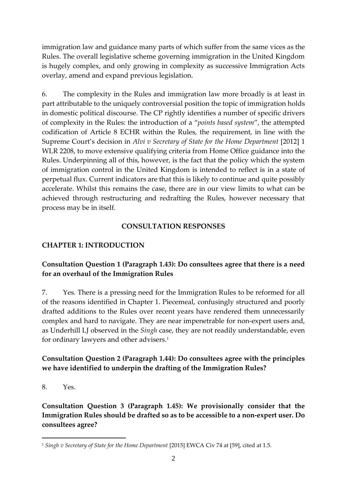immigration law and guidance many parts of which suffer from the same vices as the Rules. The overall legislative scheme governing immigration in the United Kingdom is hugely complex, and only growing in complexity as successive Immigration Acts overlay, amend and expand previous legislation.

6. The complexity in the Rules and immigration law more broadly is at least in part attributable to the uniquely controversial position the topic of immigration holds in domestic political discourse. The CP rightly identifies a number of specific drivers of complexity in the Rules: the introduction of a "*points based system*", the attempted codification of Article 8 ECHR within the Rules, the requirement, in line with the Supreme Court's decision in *Alvi v Secretary of State for the Home Department* [2012] 1 WLR 2208, to move extensive qualifying criteria from Home Office guidance into the Rules. Underpinning all of this, however, is the fact that the policy which the system of immigration control in the United Kingdom is intended to reflect is in a state of perpetual flux. Current indicators are that this is likely to continue and quite possibly accelerate. Whilst this remains the case, there are in our view limits to what can be achieved through restructuring and redrafting the Rules, however necessary that process may be in itself.

### **CONSULTATION RESPONSES**

#### **CHAPTER 1: INTRODUCTION**

#### **Consultation Question 1 (Paragraph 1.43): Do consultees agree that there is a need for an overhaul of the Immigration Rules**

7. Yes. There is a pressing need for the Immigration Rules to be reformed for all of the reasons identified in Chapter 1. Piecemeal, confusingly structured and poorly drafted additions to the Rules over recent years have rendered them unnecessarily complex and hard to navigate. They are near impenetrable for non-expert users and, as Underhill LJ observed in the *Singh* case, they are not readily understandable, even for ordinary lawyers and other advisers.<sup>1</sup>

#### **Consultation Question 2 (Paragraph 1.44): Do consultees agree with the principles we have identified to underpin the drafting of the Immigration Rules?**

8. Yes.

<u>.</u>

**Consultation Question 3 (Paragraph 1.45): We provisionally consider that the Immigration Rules should be drafted so as to be accessible to a non-expert user. Do consultees agree?**

<sup>1</sup> *Singh v Secretary of State for the Home Department* [2015] EWCA Civ 74 at [59], cited at 1.5.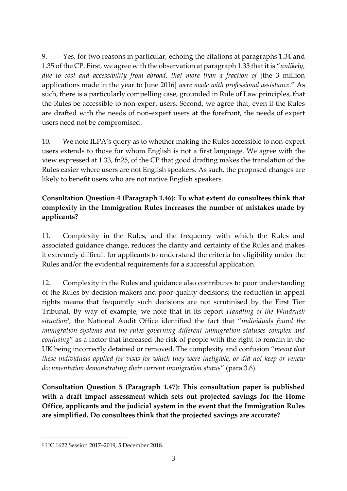9. Yes, for two reasons in particular, echoing the citations at paragraphs 1.34 and 1.35 of the CP. First, we agree with the observation at paragraph 1.33 that it is "*unlikely, due to cost and accessibility from abroad, that more than a fraction of* [the 3 million applications made in the year to June 2016] *were made with professional assistance*." As such, there is a particularly compelling case, grounded in Rule of Law principles, that the Rules be accessible to non-expert users. Second, we agree that, even if the Rules are drafted with the needs of non-expert users at the forefront, the needs of expert users need not be compromised.

10. We note ILPA's query as to whether making the Rules accessible to non-expert users extends to those for whom English is not a first language. We agree with the view expressed at 1.33, fn25, of the CP that good drafting makes the translation of the Rules easier where users are not English speakers. As such, the proposed changes are likely to benefit users who are not native English speakers.

## **Consultation Question 4 (Paragraph 1.46): To what extent do consultees think that complexity in the Immigration Rules increases the number of mistakes made by applicants?**

11. Complexity in the Rules, and the frequency with which the Rules and associated guidance change, reduces the clarity and certainty of the Rules and makes it extremely difficult for applicants to understand the criteria for eligibility under the Rules and/or the evidential requirements for a successful application.

12. Complexity in the Rules and guidance also contributes to poor understanding of the Rules by decision-makers and poor-quality decisions; the reduction in appeal rights means that frequently such decisions are not scrutinised by the First Tier Tribunal. By way of example, we note that in its report *Handling of the Windrush situation<sup>2</sup>* , the National Audit Office identified the fact that "*individuals found the immigration systems and the rules governing different immigration statuses complex and confusing*" as a factor that increased the risk of people with the right to remain in the UK being incorrectly detained or removed. The complexity and confusion "*meant that these individuals applied for visas for which they were ineligible, or did not keep or renew documentation demonstrating their current immigration status*" (para 3.6).

**Consultation Question 5 (Paragraph 1.47): This consultation paper is published with a draft impact assessment which sets out projected savings for the Home Office, applicants and the judicial system in the event that the Immigration Rules are simplified. Do consultees think that the projected savings are accurate?**

<sup>2</sup> HC 1622 Session 2017–2019, 5 December 2018.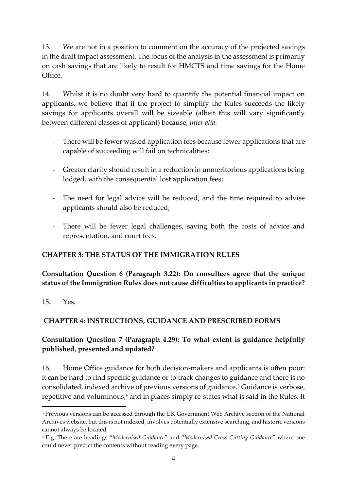13. We are not in a position to comment on the accuracy of the projected savings in the draft impact assessment. The focus of the analysis in the assessment is primarily on cash savings that are likely to result for HMCTS and time savings for the Home Office.

14. Whilst it is no doubt very hard to quantify the potential financial impact on applicants, we believe that if the project to simplify the Rules succeeds the likely savings for applicants overall will be sizeable (albeit this will vary significantly between different classes of applicant) because, *inter alia*:

- There will be fewer wasted application fees because fewer applications that are capable of succeeding will fail on technicalities;
- Greater clarity should result in a reduction in unmeritorious applications being lodged, with the consequential lost application fees;
- The need for legal advice will be reduced, and the time required to advise applicants should also be reduced;
- There will be fewer legal challenges, saving both the costs of advice and representation, and court fees.

### **CHAPTER 3: THE STATUS OF THE IMMIGRATION RULES**

**Consultation Question 6 (Paragraph 3.22): Do consultees agree that the unique status of the Immigration Rules does not cause difficulties to applicants in practice?**

15. Yes.

1

# **CHAPTER 4: INSTRUCTIONS, GUIDANCE AND PRESCRIBED FORMS**

## **Consultation Question 7 (Paragraph 4.29): To what extent is guidance helpfully published, presented and updated?**

16. Home Office guidance for both decision-makers and applicants is often poor: it can be hard to find specific guidance or to track changes to guidance and there is no consolidated, indexed archive of previous versions of guidance.<sup>3</sup> Guidance is verbose, repetitive and voluminous, <sup>4</sup> and in places simply re-states what is said in the Rules. It

<sup>&</sup>lt;sup>3</sup> Previous versions can be accessed through the UK Government Web Archive section of the National Archives website, but this is not indexed, involves potentially extensive searching, and historic versions cannot always be located.

<sup>4</sup> E.g. There are headings "*Modernised Guidance*" and "*Modernised Cross Cutting Guidance*" where one could never predict the contents without reading every page.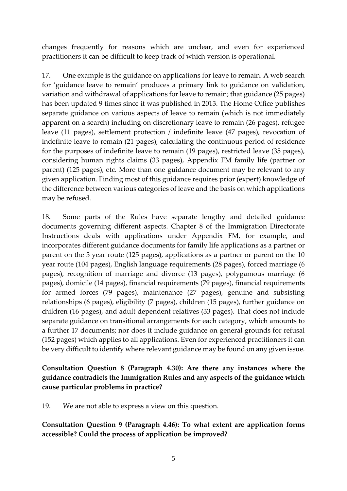changes frequently for reasons which are unclear, and even for experienced practitioners it can be difficult to keep track of which version is operational.

17. One example is the guidance on applications for leave to remain. A web search for 'guidance leave to remain' produces a primary link to guidance on validation, variation and withdrawal of applications for leave to remain; that guidance (25 pages) has been updated 9 times since it was published in 2013. The Home Office publishes separate guidance on various aspects of leave to remain (which is not immediately apparent on a search) including on discretionary leave to remain (26 pages), refugee leave (11 pages), settlement protection / indefinite leave (47 pages), revocation of indefinite leave to remain (21 pages), calculating the continuous period of residence for the purposes of indefinite leave to remain (19 pages), restricted leave (35 pages), considering human rights claims (33 pages), Appendix FM family life (partner or parent) (125 pages), etc. More than one guidance document may be relevant to any given application. Finding most of this guidance requires prior (expert) knowledge of the difference between various categories of leave and the basis on which applications may be refused.

18. Some parts of the Rules have separate lengthy and detailed guidance documents governing different aspects. Chapter 8 of the Immigration Directorate Instructions deals with applications under Appendix FM, for example, and incorporates different guidance documents for family life applications as a partner or parent on the 5 year route (125 pages), applications as a partner or parent on the 10 year route (104 pages), English language requirements (28 pages), forced marriage (6 pages), recognition of marriage and divorce (13 pages), polygamous marriage (6 pages), domicile (14 pages), financial requirements (79 pages), financial requirements for armed forces (79 pages), maintenance (27 pages), genuine and subsisting relationships (6 pages), eligibility (7 pages), children (15 pages), further guidance on children (16 pages), and adult dependent relatives (33 pages). That does not include separate guidance on transitional arrangements for each category, which amounts to a further 17 documents; nor does it include guidance on general grounds for refusal (152 pages) which applies to all applications. Even for experienced practitioners it can be very difficult to identify where relevant guidance may be found on any given issue.

## **Consultation Question 8 (Paragraph 4.30): Are there any instances where the guidance contradicts the Immigration Rules and any aspects of the guidance which cause particular problems in practice?**

19. We are not able to express a view on this question.

**Consultation Question 9 (Paragraph 4.46): To what extent are application forms accessible? Could the process of application be improved?**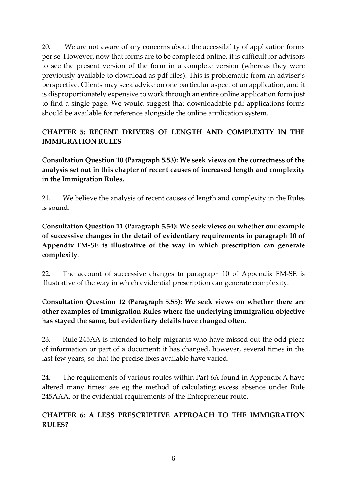20. We are not aware of any concerns about the accessibility of application forms per se. However, now that forms are to be completed online, it is difficult for advisors to see the present version of the form in a complete version (whereas they were previously available to download as pdf files). This is problematic from an adviser's perspective. Clients may seek advice on one particular aspect of an application, and it is disproportionately expensive to work through an entire online application form just to find a single page. We would suggest that downloadable pdf applications forms should be available for reference alongside the online application system.

# **CHAPTER 5: RECENT DRIVERS OF LENGTH AND COMPLEXITY IN THE IMMIGRATION RULES**

**Consultation Question 10 (Paragraph 5.53): We seek views on the correctness of the analysis set out in this chapter of recent causes of increased length and complexity in the Immigration Rules.**

21. We believe the analysis of recent causes of length and complexity in the Rules is sound.

**Consultation Question 11 (Paragraph 5.54): We seek views on whether our example of successive changes in the detail of evidentiary requirements in paragraph 10 of Appendix FM-SE is illustrative of the way in which prescription can generate complexity.**

22. The account of successive changes to paragraph 10 of Appendix FM-SE is illustrative of the way in which evidential prescription can generate complexity.

## **Consultation Question 12 (Paragraph 5.55): We seek views on whether there are other examples of Immigration Rules where the underlying immigration objective has stayed the same, but evidentiary details have changed often.**

23. Rule 245AA is intended to help migrants who have missed out the odd piece of information or part of a document: it has changed, however, several times in the last few years, so that the precise fixes available have varied.

24. The requirements of various routes within Part 6A found in Appendix A have altered many times: see eg the method of calculating excess absence under Rule 245AAA, or the evidential requirements of the Entrepreneur route.

## **CHAPTER 6: A LESS PRESCRIPTIVE APPROACH TO THE IMMIGRATION RULES?**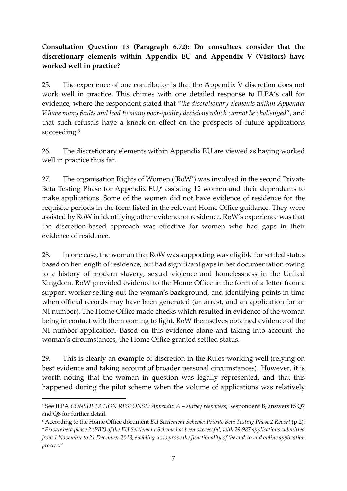## **Consultation Question 13 (Paragraph 6.72): Do consultees consider that the discretionary elements within Appendix EU and Appendix V (Visitors) have worked well in practice?**

25. The experience of one contributor is that the Appendix V discretion does not work well in practice. This chimes with one detailed response to ILPA's call for evidence, where the respondent stated that "*the discretionary elements within Appendix V have many faults and lead to many poor-quality decisions which cannot be challenged*", and that such refusals have a knock-on effect on the prospects of future applications succeeding.<sup>5</sup>

26. The discretionary elements within Appendix EU are viewed as having worked well in practice thus far.

27. The organisation Rights of Women ('RoW') was involved in the second Private Beta Testing Phase for Appendix EU,<sup>6</sup> assisting 12 women and their dependants to make applications. Some of the women did not have evidence of residence for the requisite periods in the form listed in the relevant Home Office guidance. They were assisted by RoW in identifying other evidence of residence. RoW's experience was that the discretion-based approach was effective for women who had gaps in their evidence of residence.

28. In one case, the woman that RoW was supporting was eligible for settled status based on her length of residence, but had significant gaps in her documentation owing to a history of modern slavery, sexual violence and homelessness in the United Kingdom. RoW provided evidence to the Home Office in the form of a letter from a support worker setting out the woman's background, and identifying points in time when official records may have been generated (an arrest, and an application for an NI number). The Home Office made checks which resulted in evidence of the woman being in contact with them coming to light. RoW themselves obtained evidence of the NI number application. Based on this evidence alone and taking into account the woman's circumstances, the Home Office granted settled status.

29. This is clearly an example of discretion in the Rules working well (relying on best evidence and taking account of broader personal circumstances). However, it is worth noting that the woman in question was legally represented, and that this happened during the pilot scheme when the volume of applications was relatively

1

<sup>5</sup> See ILPA *CONSULTATION RESPONSE: Appendix A – survey responses*, Respondent B, answers to Q7 and Q8 for further detail.

<sup>6</sup> According to the Home Office document *EU Settlement Scheme: Private Beta Testing Phase 2 Report* (p.2):

<sup>&</sup>quot;*Private beta phase 2 (PB2) of the EU Settlement Scheme has been successful, with 29,987 applications submitted from 1 November to 21 December 2018, enabling us to prove the functionality of the end-to-end online application process*."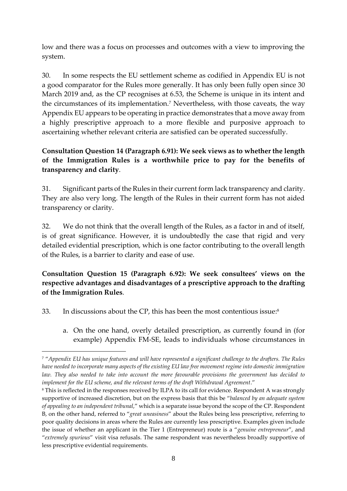low and there was a focus on processes and outcomes with a view to improving the system.

30. In some respects the EU settlement scheme as codified in Appendix EU is not a good comparator for the Rules more generally. It has only been fully open since 30 March 2019 and, as the CP recognises at 6.53, the Scheme is unique in its intent and the circumstances of its implementation.<sup>7</sup> Nevertheless, with those caveats, the way Appendix EU appears to be operating in practice demonstrates that a move away from a highly prescriptive approach to a more flexible and purposive approach to ascertaining whether relevant criteria are satisfied can be operated successfully.

## **Consultation Question 14 (Paragraph 6.91): We seek views as to whether the length of the Immigration Rules is a worthwhile price to pay for the benefits of transparency and clarity**.

31. Significant parts of the Rules in their current form lack transparency and clarity. They are also very long. The length of the Rules in their current form has not aided transparency or clarity.

32. We do not think that the overall length of the Rules, as a factor in and of itself, is of great significance. However, it is undoubtedly the case that rigid and very detailed evidential prescription, which is one factor contributing to the overall length of the Rules, is a barrier to clarity and ease of use.

### **Consultation Question 15 (Paragraph 6.92): We seek consultees' views on the respective advantages and disadvantages of a prescriptive approach to the drafting of the Immigration Rules**.

33. In discussions about the CP, this has been the most contentious issue: 8

1

a. On the one hand, overly detailed prescription, as currently found in (for example) Appendix FM-SE, leads to individuals whose circumstances in

<sup>7</sup> "*Appendix EU has unique features and will have represented a significant challenge to the drafters. The Rules have needed to incorporate many aspects of the existing EU law free movement regime into domestic immigration law. They also needed to take into account the more favourable provisions the government has decided to implement for the EU scheme, and the relevant terms of the draft Withdrawal Agreement*."

<sup>8</sup> This is reflected in the responses received by ILPA to its call for evidence. Respondent A was strongly supportive of increased discretion, but on the express basis that this be "*balanced by an adequate system of appealing to an independent tribunal*," which is a separate issue beyond the scope of the CP. Respondent B, on the other hand, referred to "*great uneasiness*" about the Rules being less prescriptive, referring to poor quality decisions in areas where the Rules are currently less prescriptive. Examples given include the issue of whether an applicant in the Tier 1 (Entrepreneur) route is a "*genuine entrepreneur*", and "*extremely spurious*" visit visa refusals. The same respondent was nevertheless broadly supportive of less prescriptive evidential requirements.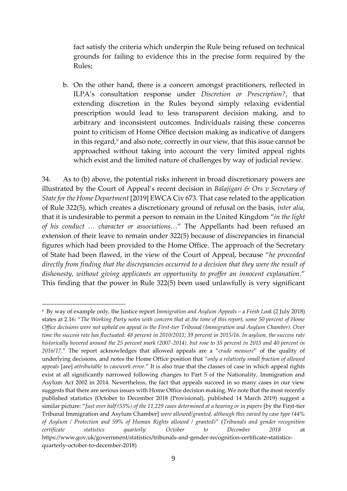fact satisfy the criteria which underpin the Rule being refused on technical grounds for failing to evidence this in the precise form required by the Rules;

b. On the other hand, there is a concern amongst practitioners, reflected in ILPA's consultation response under *Discretion or Prescription?*, that extending discretion in the Rules beyond simply relaxing evidential prescription would lead to less transparent decision making, and to arbitrary and inconsistent outcomes. Individuals raising these concerns point to criticism of Home Office decision making as indicative of dangers in this regard,<sup>9</sup> and also note, correctly in our view, that this issue cannot be approached without taking into account the very limited appeal rights which exist and the limited nature of challenges by way of judicial review.

34. As to (b) above, the potential risks inherent in broad discretionary powers are illustrated by the Court of Appeal's recent decision in *Balajigari & Ors v Secretary of State for the Home Department* [2019] EWCA Civ 673. That case related to the application of Rule 322(5), which creates a discretionary ground of refusal on the basis, *inter alia*, that it is undesirable to permit a person to remain in the United Kingdom "*in the light of his conduct … character or associations…*" The Appellants had been refused an extension of their leave to remain under 322(5) because of discrepancies in financial figures which had been provided to the Home Office. The approach of the Secretary of State had been flawed, in the view of the Court of Appeal, because "*he proceeded directly from finding that the discrepancies occurred to a decision that they were the result of dishonesty, without giving applicants an opportunity to proffer an innocent explanation*." This finding that the power in Rule 322(5) been used unlawfully is very significant

1

<sup>9</sup> By way of example only, the Justice report *Immigration and Asylum Appeals – a Fresh Look* (2 July 2018) states at 2.16: "*The Working Party notes with concern that at the time of this report, some 50 percent of Home Office decisions were not upheld on appeal in the First-tier Tribunal (Immigration and Asylum Chamber). Over time the success rate has fluctuated: 48 percent in 2010/2011; 39 percent in 2015/16. In asylum, the success rate historically hovered around the 25 percent mark (2007-2014), but rose to 35 percent in 2015 and 40 percent in 2016/17*." The report acknowledges that allowed appeals are a "*crude measure*" of the quality of underlying decisions, and notes the Home Office position that "*only a relatively small fraction of allowed appeals* [are] *attributable to casework error*." It is also true that the classes of case in which appeal rights exist at all significantly narrowed following changes to Part 5 of the Nationality, Immigration and Asylum Act 2002 in 2014. Nevertheless, the fact that appeals succeed in so many cases in our view suggests that there are serious issues with Home Office decision making. We note that the most recently published statistics (October to December 2018 (Provisional), published 14 March 2019) suggest a similar picture: "*Just over half (53%) of the 11,229 cases determined at a hearing or in papers* [by the First-tier Tribunal Immigration and Asylum Chamber] *were allowed/granted, although this varied by case type (44% of Asylum / Protection and 59% of Human Rights allowed / granted)*" (*Tribunals and gender recognition certificate statistics quarterly: October to December 2018* at https://www.gov.uk/government/statistics/tribunals-and-gender-recognition-certificate-statisticsquarterly-october-to-december-2018)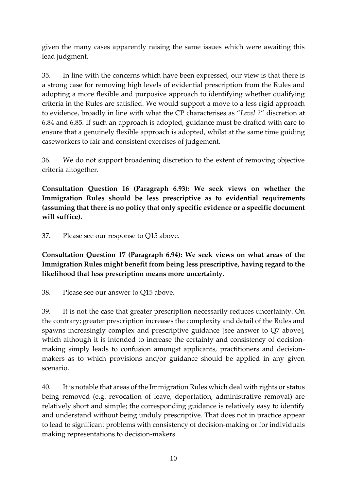given the many cases apparently raising the same issues which were awaiting this lead judgment.

35. In line with the concerns which have been expressed, our view is that there is a strong case for removing high levels of evidential prescription from the Rules and adopting a more flexible and purposive approach to identifying whether qualifying criteria in the Rules are satisfied. We would support a move to a less rigid approach to evidence, broadly in line with what the CP characterises as "*Level 2*" discretion at 6.84 and 6.85. If such an approach is adopted, guidance must be drafted with care to ensure that a genuinely flexible approach is adopted, whilst at the same time guiding caseworkers to fair and consistent exercises of judgement.

36. We do not support broadening discretion to the extent of removing objective criteria altogether.

**Consultation Question 16 (Paragraph 6.93): We seek views on whether the Immigration Rules should be less prescriptive as to evidential requirements (assuming that there is no policy that only specific evidence or a specific document will suffice).**

37. Please see our response to Q15 above.

**Consultation Question 17 (Paragraph 6.94): We seek views on what areas of the Immigration Rules might benefit from being less prescriptive, having regard to the likelihood that less prescription means more uncertainty**.

38. Please see our answer to Q15 above.

39. It is not the case that greater prescription necessarily reduces uncertainty. On the contrary; greater prescription increases the complexity and detail of the Rules and spawns increasingly complex and prescriptive guidance [see answer to Q7 above], which although it is intended to increase the certainty and consistency of decisionmaking simply leads to confusion amongst applicants, practitioners and decisionmakers as to which provisions and/or guidance should be applied in any given scenario.

40. It is notable that areas of the Immigration Rules which deal with rights or status being removed (e.g. revocation of leave, deportation, administrative removal) are relatively short and simple; the corresponding guidance is relatively easy to identify and understand without being unduly prescriptive. That does not in practice appear to lead to significant problems with consistency of decision-making or for individuals making representations to decision-makers.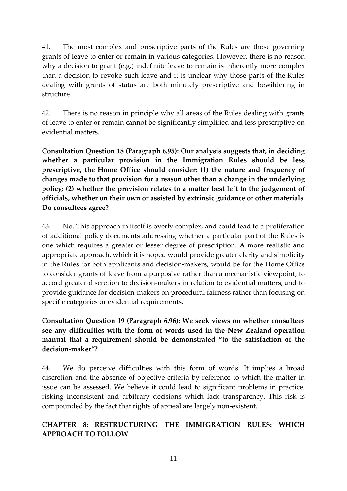41. The most complex and prescriptive parts of the Rules are those governing grants of leave to enter or remain in various categories. However, there is no reason why a decision to grant (e.g.) indefinite leave to remain is inherently more complex than a decision to revoke such leave and it is unclear why those parts of the Rules dealing with grants of status are both minutely prescriptive and bewildering in structure.

42. There is no reason in principle why all areas of the Rules dealing with grants of leave to enter or remain cannot be significantly simplified and less prescriptive on evidential matters.

**Consultation Question 18 (Paragraph 6.95): Our analysis suggests that, in deciding whether a particular provision in the Immigration Rules should be less prescriptive, the Home Office should consider: (1) the nature and frequency of changes made to that provision for a reason other than a change in the underlying policy; (2) whether the provision relates to a matter best left to the judgement of officials, whether on their own or assisted by extrinsic guidance or other materials. Do consultees agree?**

43. No. This approach in itself is overly complex, and could lead to a proliferation of additional policy documents addressing whether a particular part of the Rules is one which requires a greater or lesser degree of prescription. A more realistic and appropriate approach, which it is hoped would provide greater clarity and simplicity in the Rules for both applicants and decision-makers, would be for the Home Office to consider grants of leave from a purposive rather than a mechanistic viewpoint; to accord greater discretion to decision-makers in relation to evidential matters, and to provide guidance for decision-makers on procedural fairness rather than focusing on specific categories or evidential requirements.

**Consultation Question 19 (Paragraph 6.96): We seek views on whether consultees see any difficulties with the form of words used in the New Zealand operation manual that a requirement should be demonstrated "to the satisfaction of the decision-maker"?**

44. We do perceive difficulties with this form of words. It implies a broad discretion and the absence of objective criteria by reference to which the matter in issue can be assessed. We believe it could lead to significant problems in practice, risking inconsistent and arbitrary decisions which lack transparency. This risk is compounded by the fact that rights of appeal are largely non-existent.

## **CHAPTER 8: RESTRUCTURING THE IMMIGRATION RULES: WHICH APPROACH TO FOLLOW**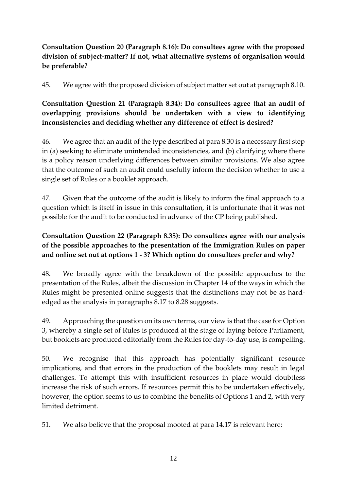## **Consultation Question 20 (Paragraph 8.16): Do consultees agree with the proposed division of subject-matter? If not, what alternative systems of organisation would be preferable?**

45. We agree with the proposed division of subject matter set out at paragraph 8.10.

# **Consultation Question 21 (Paragraph 8.34): Do consultees agree that an audit of overlapping provisions should be undertaken with a view to identifying inconsistencies and deciding whether any difference of effect is desired?**

46. We agree that an audit of the type described at para 8.30 is a necessary first step in (a) seeking to eliminate unintended inconsistencies, and (b) clarifying where there is a policy reason underlying differences between similar provisions. We also agree that the outcome of such an audit could usefully inform the decision whether to use a single set of Rules or a booklet approach.

47. Given that the outcome of the audit is likely to inform the final approach to a question which is itself in issue in this consultation, it is unfortunate that it was not possible for the audit to be conducted in advance of the CP being published.

## **Consultation Question 22 (Paragraph 8.35): Do consultees agree with our analysis of the possible approaches to the presentation of the Immigration Rules on paper and online set out at options 1 - 3? Which option do consultees prefer and why?**

48. We broadly agree with the breakdown of the possible approaches to the presentation of the Rules, albeit the discussion in Chapter 14 of the ways in which the Rules might be presented online suggests that the distinctions may not be as hardedged as the analysis in paragraphs 8.17 to 8.28 suggests.

49. Approaching the question on its own terms, our view is that the case for Option 3, whereby a single set of Rules is produced at the stage of laying before Parliament, but booklets are produced editorially from the Rules for day-to-day use, is compelling.

50. We recognise that this approach has potentially significant resource implications, and that errors in the production of the booklets may result in legal challenges. To attempt this with insufficient resources in place would doubtless increase the risk of such errors. If resources permit this to be undertaken effectively, however, the option seems to us to combine the benefits of Options 1 and 2, with very limited detriment.

51. We also believe that the proposal mooted at para 14.17 is relevant here: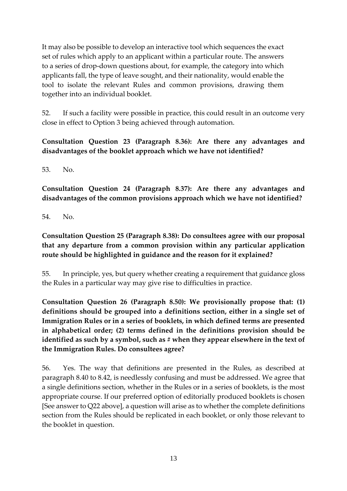It may also be possible to develop an interactive tool which sequences the exact set of rules which apply to an applicant within a particular route. The answers to a series of drop-down questions about, for example, the category into which applicants fall, the type of leave sought, and their nationality, would enable the tool to isolate the relevant Rules and common provisions, drawing them together into an individual booklet.

52. If such a facility were possible in practice, this could result in an outcome very close in effect to Option 3 being achieved through automation.

## **Consultation Question 23 (Paragraph 8.36): Are there any advantages and disadvantages of the booklet approach which we have not identified?**

53. No.

**Consultation Question 24 (Paragraph 8.37): Are there any advantages and disadvantages of the common provisions approach which we have not identified?**

54. No.

## **Consultation Question 25 (Paragraph 8.38): Do consultees agree with our proposal that any departure from a common provision within any particular application route should be highlighted in guidance and the reason for it explained?**

55. In principle, yes, but query whether creating a requirement that guidance gloss the Rules in a particular way may give rise to difficulties in practice.

**Consultation Question 26 (Paragraph 8.50): We provisionally propose that: (1) definitions should be grouped into a definitions section, either in a single set of Immigration Rules or in a series of booklets, in which defined terms are presented in alphabetical order; (2) terms defined in the definitions provision should be**  identified as such by a symbol, such as # when they appear elsewhere in the text of **the Immigration Rules. Do consultees agree?**

56. Yes. The way that definitions are presented in the Rules, as described at paragraph 8.40 to 8.42, is needlessly confusing and must be addressed. We agree that a single definitions section, whether in the Rules or in a series of booklets, is the most appropriate course. If our preferred option of editorially produced booklets is chosen [See answer to Q22 above], a question will arise as to whether the complete definitions section from the Rules should be replicated in each booklet, or only those relevant to the booklet in question.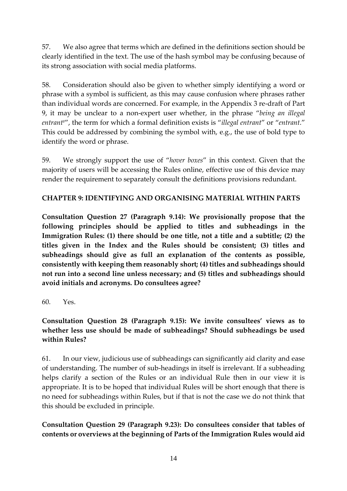57. We also agree that terms which are defined in the definitions section should be clearly identified in the text. The use of the hash symbol may be confusing because of its strong association with social media platforms.

58. Consideration should also be given to whether simply identifying a word or phrase with a symbol is sufficient, as this may cause confusion where phrases rather than individual words are concerned. For example, in the Appendix 3 re-draft of Part 9, it may be unclear to a non-expert user whether, in the phrase "*being an illegal entrant#*", the term for which a formal definition exists is "*illegal entrant*" or "*entrant*." This could be addressed by combining the symbol with, e.g., the use of bold type to identify the word or phrase.

59. We strongly support the use of "*hover boxes*" in this context. Given that the majority of users will be accessing the Rules online, effective use of this device may render the requirement to separately consult the definitions provisions redundant.

#### **CHAPTER 9: IDENTIFYING AND ORGANISING MATERIAL WITHIN PARTS**

**Consultation Question 27 (Paragraph 9.14): We provisionally propose that the following principles should be applied to titles and subheadings in the Immigration Rules: (1) there should be one title, not a title and a subtitle; (2) the titles given in the Index and the Rules should be consistent; (3) titles and subheadings should give as full an explanation of the contents as possible, consistently with keeping them reasonably short; (4) titles and subheadings should not run into a second line unless necessary; and (5) titles and subheadings should avoid initials and acronyms. Do consultees agree?**

#### 60. Yes.

## **Consultation Question 28 (Paragraph 9.15): We invite consultees' views as to whether less use should be made of subheadings? Should subheadings be used within Rules?**

61. In our view, judicious use of subheadings can significantly aid clarity and ease of understanding. The number of sub-headings in itself is irrelevant. If a subheading helps clarify a section of the Rules or an individual Rule then in our view it is appropriate. It is to be hoped that individual Rules will be short enough that there is no need for subheadings within Rules, but if that is not the case we do not think that this should be excluded in principle.

### **Consultation Question 29 (Paragraph 9.23): Do consultees consider that tables of contents or overviews at the beginning of Parts of the Immigration Rules would aid**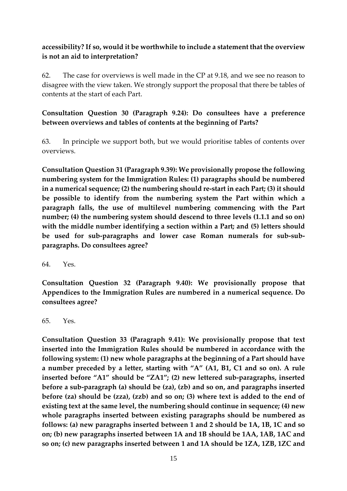#### **accessibility? If so, would it be worthwhile to include a statement that the overview is not an aid to interpretation?**

62. The case for overviews is well made in the CP at 9.18, and we see no reason to disagree with the view taken. We strongly support the proposal that there be tables of contents at the start of each Part.

### **Consultation Question 30 (Paragraph 9.24): Do consultees have a preference between overviews and tables of contents at the beginning of Parts?**

63. In principle we support both, but we would prioritise tables of contents over overviews.

**Consultation Question 31 (Paragraph 9.39): We provisionally propose the following numbering system for the Immigration Rules: (1) paragraphs should be numbered in a numerical sequence; (2) the numbering should re-start in each Part; (3) it should be possible to identify from the numbering system the Part within which a paragraph falls, the use of multilevel numbering commencing with the Part number; (4) the numbering system should descend to three levels (1.1.1 and so on) with the middle number identifying a section within a Part; and (5) letters should be used for sub-paragraphs and lower case Roman numerals for sub-subparagraphs. Do consultees agree?**

64. Yes.

**Consultation Question 32 (Paragraph 9.40): We provisionally propose that Appendices to the Immigration Rules are numbered in a numerical sequence. Do consultees agree?**

65. Yes.

**Consultation Question 33 (Paragraph 9.41): We provisionally propose that text inserted into the Immigration Rules should be numbered in accordance with the following system: (1) new whole paragraphs at the beginning of a Part should have a number preceded by a letter, starting with "A" (A1, B1, C1 and so on). A rule inserted before "A1" should be "ZA1"; (2) new lettered sub-paragraphs, inserted before a sub-paragraph (a) should be (za), (zb) and so on, and paragraphs inserted before (za) should be (zza), (zzb) and so on; (3) where text is added to the end of existing text at the same level, the numbering should continue in sequence; (4) new whole paragraphs inserted between existing paragraphs should be numbered as follows: (a) new paragraphs inserted between 1 and 2 should be 1A, 1B, 1C and so on; (b) new paragraphs inserted between 1A and 1B should be 1AA, 1AB, 1AC and so on; (c) new paragraphs inserted between 1 and 1A should be 1ZA, 1ZB, 1ZC and**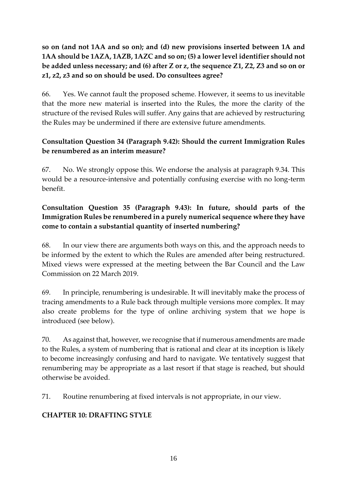## **so on (and not 1AA and so on); and (d) new provisions inserted between 1A and 1AA should be 1AZA, 1AZB, 1AZC and so on; (5) a lower level identifier should not be added unless necessary; and (6) after Z or z, the sequence Z1, Z2, Z3 and so on or z1, z2, z3 and so on should be used. Do consultees agree?**

66. Yes. We cannot fault the proposed scheme. However, it seems to us inevitable that the more new material is inserted into the Rules, the more the clarity of the structure of the revised Rules will suffer. Any gains that are achieved by restructuring the Rules may be undermined if there are extensive future amendments.

## **Consultation Question 34 (Paragraph 9.42): Should the current Immigration Rules be renumbered as an interim measure?**

67. No. We strongly oppose this. We endorse the analysis at paragraph 9.34. This would be a resource-intensive and potentially confusing exercise with no long-term benefit.

## **Consultation Question 35 (Paragraph 9.43): In future, should parts of the Immigration Rules be renumbered in a purely numerical sequence where they have come to contain a substantial quantity of inserted numbering?**

68. In our view there are arguments both ways on this, and the approach needs to be informed by the extent to which the Rules are amended after being restructured. Mixed views were expressed at the meeting between the Bar Council and the Law Commission on 22 March 2019.

69. In principle, renumbering is undesirable. It will inevitably make the process of tracing amendments to a Rule back through multiple versions more complex. It may also create problems for the type of online archiving system that we hope is introduced (see below).

70. As against that, however, we recognise that if numerous amendments are made to the Rules, a system of numbering that is rational and clear at its inception is likely to become increasingly confusing and hard to navigate. We tentatively suggest that renumbering may be appropriate as a last resort if that stage is reached, but should otherwise be avoided.

71. Routine renumbering at fixed intervals is not appropriate, in our view.

# **CHAPTER 10: DRAFTING STYLE**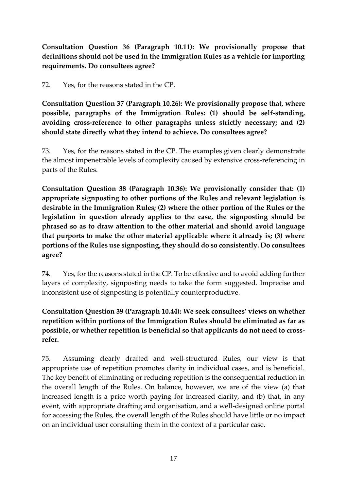**Consultation Question 36 (Paragraph 10.11): We provisionally propose that definitions should not be used in the Immigration Rules as a vehicle for importing requirements. Do consultees agree?** 

72. Yes, for the reasons stated in the CP.

**Consultation Question 37 (Paragraph 10.26): We provisionally propose that, where possible, paragraphs of the Immigration Rules: (1) should be self-standing, avoiding cross-reference to other paragraphs unless strictly necessary; and (2) should state directly what they intend to achieve. Do consultees agree?** 

73. Yes, for the reasons stated in the CP. The examples given clearly demonstrate the almost impenetrable levels of complexity caused by extensive cross-referencing in parts of the Rules.

**Consultation Question 38 (Paragraph 10.36): We provisionally consider that: (1) appropriate signposting to other portions of the Rules and relevant legislation is desirable in the Immigration Rules; (2) where the other portion of the Rules or the legislation in question already applies to the case, the signposting should be phrased so as to draw attention to the other material and should avoid language that purports to make the other material applicable where it already is; (3) where portions of the Rules use signposting, they should do so consistently. Do consultees agree?** 

74. Yes, for the reasons stated in the CP. To be effective and to avoid adding further layers of complexity, signposting needs to take the form suggested. Imprecise and inconsistent use of signposting is potentially counterproductive.

# **Consultation Question 39 (Paragraph 10.44): We seek consultees' views on whether repetition within portions of the Immigration Rules should be eliminated as far as possible, or whether repetition is beneficial so that applicants do not need to crossrefer.**

75. Assuming clearly drafted and well-structured Rules, our view is that appropriate use of repetition promotes clarity in individual cases, and is beneficial. The key benefit of eliminating or reducing repetition is the consequential reduction in the overall length of the Rules. On balance, however, we are of the view (a) that increased length is a price worth paying for increased clarity, and (b) that, in any event, with appropriate drafting and organisation, and a well-designed online portal for accessing the Rules, the overall length of the Rules should have little or no impact on an individual user consulting them in the context of a particular case.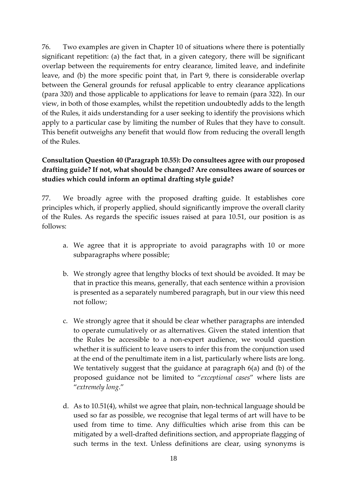76. Two examples are given in Chapter 10 of situations where there is potentially significant repetition: (a) the fact that, in a given category, there will be significant overlap between the requirements for entry clearance, limited leave, and indefinite leave, and (b) the more specific point that, in Part 9, there is considerable overlap between the General grounds for refusal applicable to entry clearance applications (para 320) and those applicable to applications for leave to remain (para 322). In our view, in both of those examples, whilst the repetition undoubtedly adds to the length of the Rules, it aids understanding for a user seeking to identify the provisions which apply to a particular case by limiting the number of Rules that they have to consult. This benefit outweighs any benefit that would flow from reducing the overall length of the Rules.

## **Consultation Question 40 (Paragraph 10.55): Do consultees agree with our proposed drafting guide? If not, what should be changed? Are consultees aware of sources or studies which could inform an optimal drafting style guide?**

77. We broadly agree with the proposed drafting guide. It establishes core principles which, if properly applied, should significantly improve the overall clarity of the Rules. As regards the specific issues raised at para 10.51, our position is as follows:

- a. We agree that it is appropriate to avoid paragraphs with 10 or more subparagraphs where possible;
- b. We strongly agree that lengthy blocks of text should be avoided. It may be that in practice this means, generally, that each sentence within a provision is presented as a separately numbered paragraph, but in our view this need not follow;
- c. We strongly agree that it should be clear whether paragraphs are intended to operate cumulatively or as alternatives. Given the stated intention that the Rules be accessible to a non-expert audience, we would question whether it is sufficient to leave users to infer this from the conjunction used at the end of the penultimate item in a list, particularly where lists are long. We tentatively suggest that the guidance at paragraph 6(a) and (b) of the proposed guidance not be limited to "*exceptional cases*" where lists are "*extremely long*."
- d. As to 10.51(4), whilst we agree that plain, non-technical language should be used so far as possible, we recognise that legal terms of art will have to be used from time to time. Any difficulties which arise from this can be mitigated by a well-drafted definitions section, and appropriate flagging of such terms in the text. Unless definitions are clear, using synonyms is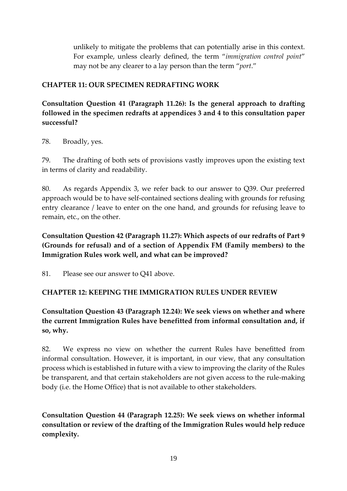unlikely to mitigate the problems that can potentially arise in this context. For example, unless clearly defined, the term "*immigration control point*" may not be any clearer to a lay person than the term "*port*."

#### **CHAPTER 11: OUR SPECIMEN REDRAFTING WORK**

**Consultation Question 41 (Paragraph 11.26): Is the general approach to drafting followed in the specimen redrafts at appendices 3 and 4 to this consultation paper successful?** 

78. Broadly, yes.

79. The drafting of both sets of provisions vastly improves upon the existing text in terms of clarity and readability.

80. As regards Appendix 3, we refer back to our answer to Q39. Our preferred approach would be to have self-contained sections dealing with grounds for refusing entry clearance / leave to enter on the one hand, and grounds for refusing leave to remain, etc., on the other.

**Consultation Question 42 (Paragraph 11.27): Which aspects of our redrafts of Part 9 (Grounds for refusal) and of a section of Appendix FM (Family members) to the Immigration Rules work well, and what can be improved?** 

81. Please see our answer to Q41 above.

#### **CHAPTER 12: KEEPING THE IMMIGRATION RULES UNDER REVIEW**

**Consultation Question 43 (Paragraph 12.24): We seek views on whether and where the current Immigration Rules have benefitted from informal consultation and, if so, why.** 

82. We express no view on whether the current Rules have benefitted from informal consultation. However, it is important, in our view, that any consultation process which is established in future with a view to improving the clarity of the Rules be transparent, and that certain stakeholders are not given access to the rule-making body (i.e. the Home Office) that is not available to other stakeholders.

**Consultation Question 44 (Paragraph 12.25): We seek views on whether informal consultation or review of the drafting of the Immigration Rules would help reduce complexity.**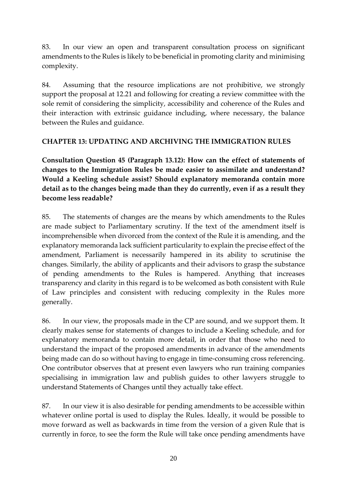83. In our view an open and transparent consultation process on significant amendments to the Rules is likely to be beneficial in promoting clarity and minimising complexity.

84. Assuming that the resource implications are not prohibitive, we strongly support the proposal at 12.21 and following for creating a review committee with the sole remit of considering the simplicity, accessibility and coherence of the Rules and their interaction with extrinsic guidance including, where necessary, the balance between the Rules and guidance.

#### **CHAPTER 13: UPDATING AND ARCHIVING THE IMMIGRATION RULES**

**Consultation Question 45 (Paragraph 13.12): How can the effect of statements of changes to the Immigration Rules be made easier to assimilate and understand? Would a Keeling schedule assist? Should explanatory memoranda contain more detail as to the changes being made than they do currently, even if as a result they become less readable?** 

85. The statements of changes are the means by which amendments to the Rules are made subject to Parliamentary scrutiny. If the text of the amendment itself is incomprehensible when divorced from the context of the Rule it is amending, and the explanatory memoranda lack sufficient particularity to explain the precise effect of the amendment, Parliament is necessarily hampered in its ability to scrutinise the changes. Similarly, the ability of applicants and their advisors to grasp the substance of pending amendments to the Rules is hampered. Anything that increases transparency and clarity in this regard is to be welcomed as both consistent with Rule of Law principles and consistent with reducing complexity in the Rules more generally.

86. In our view, the proposals made in the CP are sound, and we support them. It clearly makes sense for statements of changes to include a Keeling schedule, and for explanatory memoranda to contain more detail, in order that those who need to understand the impact of the proposed amendments in advance of the amendments being made can do so without having to engage in time-consuming cross referencing. One contributor observes that at present even lawyers who run training companies specialising in immigration law and publish guides to other lawyers struggle to understand Statements of Changes until they actually take effect.

87. In our view it is also desirable for pending amendments to be accessible within whatever online portal is used to display the Rules. Ideally, it would be possible to move forward as well as backwards in time from the version of a given Rule that is currently in force, to see the form the Rule will take once pending amendments have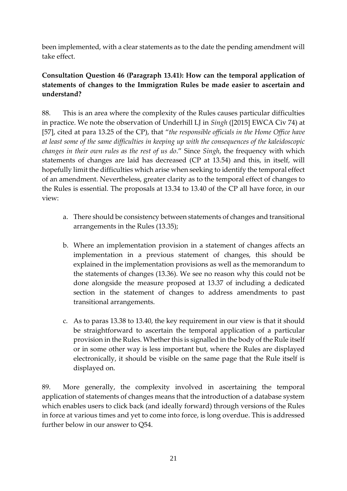been implemented, with a clear statements as to the date the pending amendment will take effect.

### **Consultation Question 46 (Paragraph 13.41): How can the temporal application of statements of changes to the Immigration Rules be made easier to ascertain and understand?**

88. This is an area where the complexity of the Rules causes particular difficulties in practice. We note the observation of Underhill LJ in *Singh* ([2015] EWCA Civ 74) at [57], cited at para 13.25 of the CP), that "*the responsible officials in the Home Office have at least some of the same difficulties in keeping up with the consequences of the kaleidoscopic changes in their own rules as the rest of us do*." Since *Singh*, the frequency with which statements of changes are laid has decreased (CP at 13.54) and this, in itself, will hopefully limit the difficulties which arise when seeking to identify the temporal effect of an amendment. Nevertheless, greater clarity as to the temporal effect of changes to the Rules is essential. The proposals at 13.34 to 13.40 of the CP all have force, in our view:

- a. There should be consistency between statements of changes and transitional arrangements in the Rules (13.35);
- b. Where an implementation provision in a statement of changes affects an implementation in a previous statement of changes, this should be explained in the implementation provisions as well as the memorandum to the statements of changes (13.36). We see no reason why this could not be done alongside the measure proposed at 13.37 of including a dedicated section in the statement of changes to address amendments to past transitional arrangements.
- c. As to paras 13.38 to 13.40, the key requirement in our view is that it should be straightforward to ascertain the temporal application of a particular provision in the Rules. Whether this is signalled in the body of the Rule itself or in some other way is less important but, where the Rules are displayed electronically, it should be visible on the same page that the Rule itself is displayed on.

89. More generally, the complexity involved in ascertaining the temporal application of statements of changes means that the introduction of a database system which enables users to click back (and ideally forward) through versions of the Rules in force at various times and yet to come into force, is long overdue. This is addressed further below in our answer to Q54.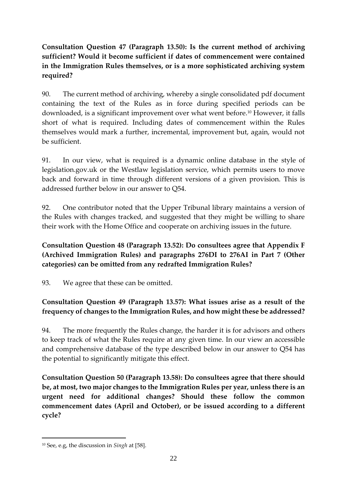## **Consultation Question 47 (Paragraph 13.50): Is the current method of archiving sufficient? Would it become sufficient if dates of commencement were contained in the Immigration Rules themselves, or is a more sophisticated archiving system required?**

90. The current method of archiving, whereby a single consolidated pdf document containing the text of the Rules as in force during specified periods can be downloaded, is a significant improvement over what went before. <sup>10</sup> However, it falls short of what is required. Including dates of commencement within the Rules themselves would mark a further, incremental, improvement but, again, would not be sufficient.

91. In our view, what is required is a dynamic online database in the style of legislation.gov.uk or the Westlaw legislation service, which permits users to move back and forward in time through different versions of a given provision. This is addressed further below in our answer to Q54.

92. One contributor noted that the Upper Tribunal library maintains a version of the Rules with changes tracked, and suggested that they might be willing to share their work with the Home Office and cooperate on archiving issues in the future.

## **Consultation Question 48 (Paragraph 13.52): Do consultees agree that Appendix F (Archived Immigration Rules) and paragraphs 276DI to 276AI in Part 7 (Other categories) can be omitted from any redrafted Immigration Rules?**

93. We agree that these can be omitted.

## **Consultation Question 49 (Paragraph 13.57): What issues arise as a result of the frequency of changes to the Immigration Rules, and how might these be addressed?**

94. The more frequently the Rules change, the harder it is for advisors and others to keep track of what the Rules require at any given time. In our view an accessible and comprehensive database of the type described below in our answer to Q54 has the potential to significantly mitigate this effect.

**Consultation Question 50 (Paragraph 13.58): Do consultees agree that there should be, at most, two major changes to the Immigration Rules per year, unless there is an urgent need for additional changes? Should these follow the common commencement dates (April and October), or be issued according to a different cycle?** 

<sup>10</sup> See, e.g, the discussion in *Singh* at [58].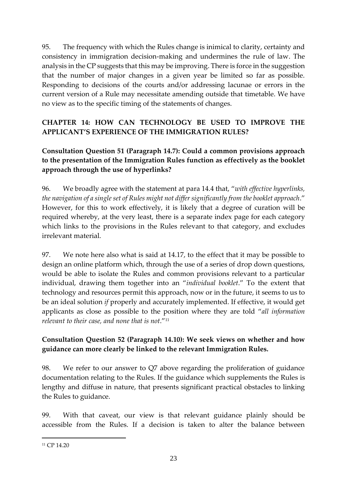95. The frequency with which the Rules change is inimical to clarity, certainty and consistency in immigration decision-making and undermines the rule of law. The analysis in the CP suggests that this may be improving. There is force in the suggestion that the number of major changes in a given year be limited so far as possible. Responding to decisions of the courts and/or addressing lacunae or errors in the current version of a Rule may necessitate amending outside that timetable. We have no view as to the specific timing of the statements of changes.

## **CHAPTER 14: HOW CAN TECHNOLOGY BE USED TO IMPROVE THE APPLICANT'S EXPERIENCE OF THE IMMIGRATION RULES?**

## **Consultation Question 51 (Paragraph 14.7): Could a common provisions approach to the presentation of the Immigration Rules function as effectively as the booklet approach through the use of hyperlinks?**

96. We broadly agree with the statement at para 14.4 that, "*with effective hyperlinks, the navigation of a single set of Rules might not differ significantly from the booklet approach*." However, for this to work effectively, it is likely that a degree of curation will be required whereby, at the very least, there is a separate index page for each category which links to the provisions in the Rules relevant to that category, and excludes irrelevant material.

97. We note here also what is said at 14.17, to the effect that it may be possible to design an online platform which, through the use of a series of drop down questions, would be able to isolate the Rules and common provisions relevant to a particular individual, drawing them together into an "*individual booklet*." To the extent that technology and resources permit this approach, now or in the future, it seems to us to be an ideal solution *if* properly and accurately implemented. If effective, it would get applicants as close as possible to the position where they are told "*all information relevant to their case, and none that is not*."<sup>11</sup>

## **Consultation Question 52 (Paragraph 14.10): We seek views on whether and how guidance can more clearly be linked to the relevant Immigration Rules.**

98. We refer to our answer to Q7 above regarding the proliferation of guidance documentation relating to the Rules. If the guidance which supplements the Rules is lengthy and diffuse in nature, that presents significant practical obstacles to linking the Rules to guidance.

99. With that caveat, our view is that relevant guidance plainly should be accessible from the Rules. If a decision is taken to alter the balance between

<sup>&</sup>lt;sup>11</sup> CP 14.20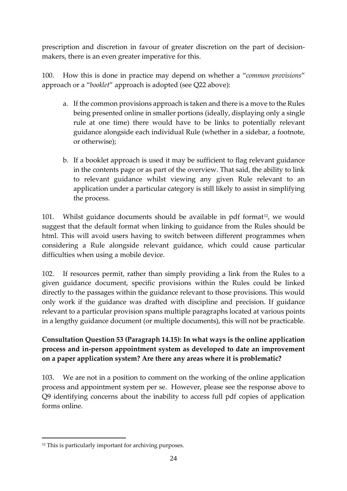prescription and discretion in favour of greater discretion on the part of decisionmakers, there is an even greater imperative for this.

100. How this is done in practice may depend on whether a "*common provisions*" approach or a "*booklet*" approach is adopted (see Q22 above):

- a. If the common provisions approach is taken and there is a move to the Rules being presented online in smaller portions (ideally, displaying only a single rule at one time) there would have to be links to potentially relevant guidance alongside each individual Rule (whether in a sidebar, a footnote, or otherwise);
- b. If a booklet approach is used it may be sufficient to flag relevant guidance in the contents page or as part of the overview. That said, the ability to link to relevant guidance whilst viewing any given Rule relevant to an application under a particular category is still likely to assist in simplifying the process.

101. Whilst guidance documents should be available in pdf format<sup>12</sup>, we would suggest that the default format when linking to guidance from the Rules should be html. This will avoid users having to switch between different programmes when considering a Rule alongside relevant guidance, which could cause particular difficulties when using a mobile device.

102. If resources permit, rather than simply providing a link from the Rules to a given guidance document, specific provisions within the Rules could be linked directly to the passages within the guidance relevant to those provisions. This would only work if the guidance was drafted with discipline and precision. If guidance relevant to a particular provision spans multiple paragraphs located at various points in a lengthy guidance document (or multiple documents), this will not be practicable.

## **Consultation Question 53 (Paragraph 14.15): In what ways is the online application process and in-person appointment system as developed to date an improvement on a paper application system? Are there any areas where it is problematic?**

103. We are not in a position to comment on the working of the online application process and appointment system per se. However, please see the response above to Q9 identifying concerns about the inability to access full pdf copies of application forms online.

<sup>&</sup>lt;sup>12</sup> This is particularly important for archiving purposes.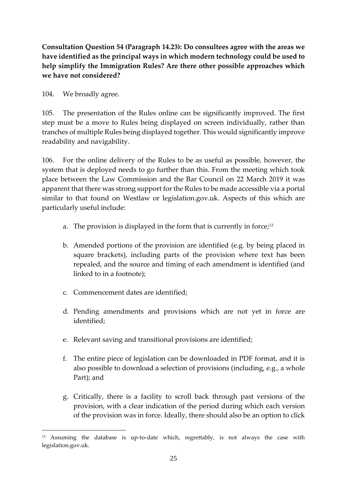**Consultation Question 54 (Paragraph 14.23): Do consultees agree with the areas we have identified as the principal ways in which modern technology could be used to help simplify the Immigration Rules? Are there other possible approaches which we have not considered?** 

104. We broadly agree.

1

105. The presentation of the Rules online can be significantly improved. The first step must be a move to Rules being displayed on screen individually, rather than tranches of multiple Rules being displayed together. This would significantly improve readability and navigability.

106. For the online delivery of the Rules to be as useful as possible, however, the system that is deployed needs to go further than this. From the meeting which took place between the Law Commission and the Bar Council on 22 March 2019 it was apparent that there was strong support for the Rules to be made accessible via a portal similar to that found on Westlaw or legislation.gov.uk. Aspects of this which are particularly useful include:

- a. The provision is displayed in the form that is currently in force; $13$
- b. Amended portions of the provision are identified (e.g. by being placed in square brackets), including parts of the provision where text has been repealed, and the source and timing of each amendment is identified (and linked to in a footnote);
- c. Commencement dates are identified;
- d. Pending amendments and provisions which are not yet in force are identified;
- e. Relevant saving and transitional provisions are identified;
- f. The entire piece of legislation can be downloaded in PDF format, and it is also possible to download a selection of provisions (including, e.g., a whole Part); and
- g. Critically, there is a facility to scroll back through past versions of the provision, with a clear indication of the period during which each version of the provision was in force. Ideally, there should also be an option to click

<sup>13</sup> Assuming the database is up-to-date which, regrettably, is not always the case with legislation.gov.uk.